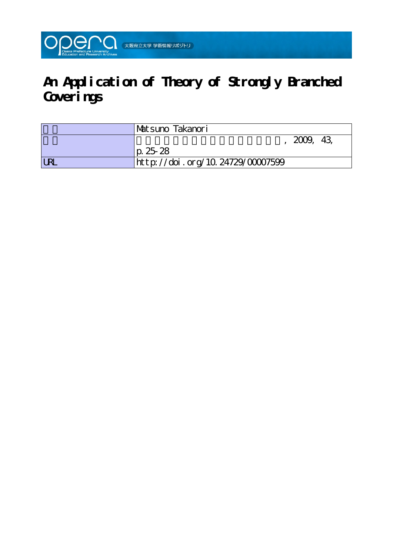

# **An Application of Theory of Strongly Branched Coverings**

|            | 'Matsuno Takanori                |  |
|------------|----------------------------------|--|
|            | 2009, 43                         |  |
|            | $ p. 25-28 $                     |  |
| <b>LRL</b> | http://doi.org/10.24729/00007599 |  |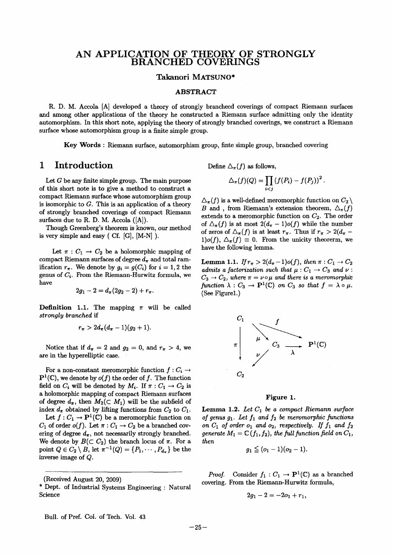# ANAPPLICATION OF THEORY OF STRONGLY BRANCHED COVERINGS

#### Takanori MATSUNO\*

#### ABSTRACT

 R. D. M. Accola [Al developed a theory of strongly branchecd coverings of compact Riemann surfaces and among other applications of the theory he constructed a Riemann surface admitting only the identity automorphism. In this short note, applying the theory of strongly branched coverings, we construct a Riemann surface whose automorphism group is a finite simple group.

Key Words : Riemann surface, automorphism group, finte simple group, branched covering

### 1 Introduction

Let  $G$  be any finite simple group. The main purpose of this short note is to give a method to construct a compact Riemann surface whose automorphism group is isomorphic to  $G$ . This is an application of a theory of strongly branched coverings of compact Riemann surfaces due to R. D. M. Accola ([A]).

 Though Greenberg's theorem is known, our method is very simple and easy  $( Cf. |G|, |M-N | ).$ 

Let  $\pi : C_1 \to C_2$  be a holomorphic mapping of compact Riemann surfaces of degree  $d_{\pi}$  and total ramification  $r_{\pi}$ . We denote by  $g_i = g(C_i)$  for  $i = 1,2$  the genus of  $C_i$ . From the Riemann-Hurwitz formula, we have

$$
2g_1-2=d_{\pi}(2g_2-2)+r_{\pi}.
$$

**Definition 1.1.** The mapping  $\pi$  will be called strongly branched if

$$
r_{\pi} > 2d_{\pi}(d_{\pi}-1)(g_2+1).
$$

Notice that if  $d_{\pi} = 2$  and  $g_2 = 0$ , and  $r_{\pi} > 4$ , we are in the hyperelliptic case.

For a non-constant meromorphic function  $f: C_i \to$  $\mathbf{P}^1(\mathbb{C})$ , we denote by  $o(f)$  the order of f. The function field on  $C_i$  will be denoted by  $M_i$ . If  $\pi : C_1 \to C_2$  is a holomorphic mapping of compact Riemann surfaces of degree  $d_{\pi}$ , then  $M_2(\subset M_1)$  will be the subfield of index  $d_{\pi}$  obtained by lifting functions from  $C_2$  to  $C_1$ .

Let  $f: C_1 \to \mathbf{P}^1(\mathbb{C})$  be a meromorphic function on  $C_1$  of order  $o(f)$ . Let  $\pi: C_1 \to C_2$  be a branched covering of degree  $d_{\pi}$ , not necessarily strongly branched. We denote by  $B(\subset C_2)$  the branch locus of  $\pi$ . For a point  $Q \in C_2 \setminus B$ , let  $\pi^{-1}(Q) = \{P_1, \cdots, P_{d_{\pi}}\}$  be the inverse image of  $Q$ .

Define  $\Delta_{\pi}(f)$  as follows,

$$
\triangle_\pi(f)(Q) = \prod_{i
$$

 $\Delta_{\pi}(f)$  is a well-defined meromorphic function on  $C_2 \setminus$ B and , from Riemann's extension theorem,  $\Delta_{\pi}(f)$ extends to a meromorphic function on  $C_2$ . The order of  $\Delta_{\pi}(f)$  is at most  $2(d_{\pi} - 1)o(f)$  while the number of zeros of  $\Delta_{\pi}(f)$  is at least  $r_{\pi}$ . Thus if  $r_{\pi} > 2(d_{\pi} 1)o(f), \Delta_{\pi}(f) \equiv 0$ . From the unicity theorerm, we have the following lemma.

**Lemma 1.1.** If  $r_{\pi} > 2(d_{\pi}-1)o(f)$ , then  $\pi : C_1 \to C_2$ admits a factorization such that  $\mu: C_1 \to C_3$  and  $\nu$ :  $C_3 \rightarrow C_2$ , where  $\pi = \nu \circ \mu$  and there is a meromorphic function  $\lambda: C_3 \to \mathbf{P}^1(\mathbb{C})$  on  $C_3$  so that  $f = \lambda \circ \mu$ . (See Figurel.)



#### Figure 1.

Lemma 1.2. Let  $C_1$  be a compact Riemann surfact of genus  $g_1$ . Let  $f_1$  and  $f_2$  be meromorphic functions on  $C_1$  of order  $o_1$  and  $o_2$ , respectively. If  $f_1$ generate  $M_1 = \mathbb{C}(f_1, f_2)$ , the full function fi then

$$
g_1\leqq (o_1-1)(o_2-1).
$$

*Proof.* Consider  $f_1: C_1 \to \mathbf{P}^1(\mathbb{C})$  as a branched covering. From the Riemann-Hurwitz formula,

$$
2g_1-2=-2o_1+r_1, \\
$$

<sup>(</sup>Received August 20, 2009)

<sup>&#</sup>x27; Dept. of Industrial Systems Engineering : Natural Science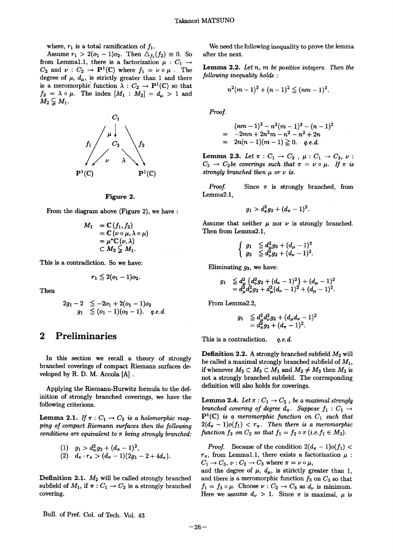where,  $r_1$  is a total ramification of  $f_1$ .

Assume  $r_1 > 2(o_1 - 1)o_2$ . Then  $\Delta_{f_1}(f_2) \equiv 0$ . So from Lemmal.1, there is a factorization  $\mu : C_1 \rightarrow$  $C_2$  and  $\nu : C_2 \to \mathbf{P}^1(\mathbb{C})$  where  $f_1 = \nu \circ \mu$ degree of  $\mu$ ,  $d_{\mu}$ , is strictly greater than 1 and there is and there is and then there is and then there is and the set of  $\mu$ ,  $d_{\mu}$ , is strictly greater than 1 and the set of  $\mu$ ,  $d_{\mu}$ , is strictly greater is a meromorphic function  $\lambda : C_2 \to \mathbf{P}^1(\mathbb{C})$  so that  $f_2 = \lambda \circ \mu$ . The index  $[M_1: M_2] = d_{\mu} > 1$  and  $M_2 \subsetneq M_1$ .



#### Figure 2.

From the diagram above (Figure 2), we have

$$
M_1 = \mathbb{C} (f_1, f_2)
$$
  
=  $\mathbb{C} (\nu \circ \mu, \lambda \circ \mu)$   
=  $\mu^* \mathbb{C} (\nu, \lambda)$   
 $\subset M_2 \subsetneqq M_1.$ 

This is a contradiction. So we have:

$$
r_1\leqq 2(o_1-1)o_2.
$$

Then

$$
\begin{array}{ccl} 2g_1-2&\leq -2o_1+2(o_1-1)o_2\\ g_1&\leq (o_1-1)(o_2-1). \quad \ q.e.d.\end{array}
$$

## 2 Preliminaries

 In this section we recal1 a theory of strongly branched coverings of compact Riemann surfaces de veloped by R. D. M. Accola [A].

 Applying the Riemann-Hurwitz formula to the definition of strongly branched coverings, we have the following criterions.

**Lemma 2.1.** If  $\pi: C_1 \to C_2$  is a holomorphic mapping of compact Riemann surfaces then the following conditions are equivalent to  $\pi$  being strongly branched:

$$
\begin{array}{ll} (1) & g_1 > d_\pi^2 g_2 + (d_\pi - 1)^2, \\ (2) & d_\pi \cdot r_\pi > (d_\pi - 1)(2g_1 - 2 + 4d_\pi). \end{array}
$$

Definition 2.1.  $M_2$  will be called strongly bran subfield of  $M_1$ , if  $\pi: C_1 \to C_2$  is a strongly branch covering.

 We need the following inequality to prove the lemma after the next.

**Lemma 2.2.** Let  $n$ ,  $m$  be positive integers. Then the following inequatity holds :

$$
n^2(m-1)^2+(n-1)^2\leqq (nm-1)^2.
$$

Proof.

$$
\begin{array}{l} (nm-1)^2-n^2(m-1)^2-(n-1)^2 \\ = \ -2mn+2n^2m-n^2-n^2+2n \\ = \ 2n(n-1)(m-1)\geqq 0. \quad q.e.d. \end{array}
$$

Lemma 2.3. Let  $\pi: C_1 \rightarrow C_2$ ,  $\mu: C_1 \rightarrow C_3$ ,  $\nu:$  $C_3 \rightarrow C_2$ be coverings such that  $\pi = \nu \circ \mu$ . If  $\pi$  is strongly branched then  $\mu$  or  $\nu$  is.

*Proof.* Since  $\pi$  is strongly branched, from Lemma2.1,

$$
g_1 > d_\pi^2 g_2 + (d_\pi - 1)^2.
$$

Assume that neither  $\mu$  nor  $\nu$  is strongly branched. Then from Lemma2.1,

$$
\left\{\n\begin{array}{ll}\ng_1 & \leq d_\mu^2 g_3 + (d_\mu - 1)^2 \\
g_3 & \leq d_\nu^2 g_2 + (d_\nu - 1)^2.\n\end{array}\n\right.
$$

Eliminating  $g_3$ , we have:

$$
\begin{array}{rl} g_1 & \leq d_\mu^2 \left\{ d_\nu^2 g_2 + (d_\nu-1)^2 \right\} + (d_\mu-1)^2 \\ & = d_\mu^2 d_\nu^2 g_2 + d_\mu^2 (d_\nu-1)^2 + (d_\mu-1)^2. \end{array}
$$

From Lemma2.2,

$$
\begin{array}{rl} g_1 & \leqq d^2_{\mu}d^2_{\nu}g_2 + (d_{\mu}d_{\nu}-1)^2 \\ & = d^2_{\pi}g_2 + (d_{\pi}-1)^2. \end{array}
$$

This is a contradiction.  $q.e.d.$ 

**Definition 2.2.** A strongly branched subfield  $M_2$  will be called a maximal strongly branched subfield of  $M_1$ , if whenever  $M_2 \subset M_3 \subset M_1$  and  $M_2 \neq M_3$  then  $M_3$  is not a strongly branched subfield. The corresponding definition will also holds for coverings.

Lemma 2.4. Let  $\pi : C_1 \to C_2$  , be a maximal strongly branched covering of degree  $d_{\pi}$ . Suppose  $f_1 : C_1 \rightarrow$  $\mathbf{P}^1(\mathbb{C})$  is a meromorphic function on  $C_1$  such that  $2(d_{\pi}-1)o(f_1) < r_{\pi}$ . Then there is a meromorphic function  $f_2$  on  $C_2$  so that  $f_1 = f_2 \circ \pi$  (i.e.  $f_1 \in M_2$ ).

*Proof.* Because of the condition  $2(d_{\pi} - 1)o(f_1)$  $r_{\pi}$ , from Lemmal.1, there exists a factorization  $\mu$ :  $C_1 \rightarrow C_3$ ,  $\nu : C_2 \rightarrow C_3$  where  $\pi = \nu \circ \mu$ ,

and the degree of  $\mu$ ,  $d_{\mu}$ , is stirictly greater than 1, and there is a meromorphic function  $f_3$  on  $C_3$  so that  $f_1 = f_3 \circ \mu$ . Choose  $\nu : C_2 \to C_3$  as  $d_{\nu}$  is minimum. Here we assume  $d_{\nu} > 1$ . Since  $\pi$  is maximal,  $\mu$  is

Bull. of Pref. Col. of Tech. Vol. 43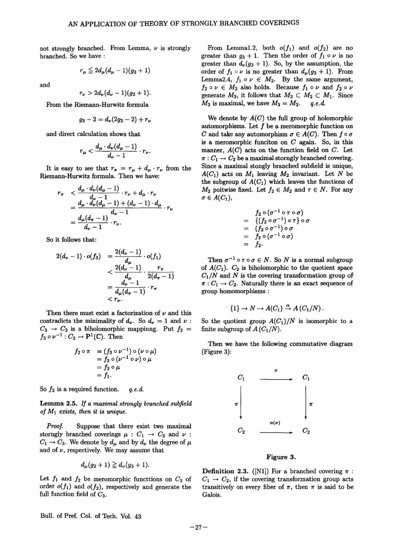not strongly branched. From Lemma,  $\nu$  is strong branched. So we have:

$$
r_{\mu}\leqq 2d_{\mu}(d_{\mu}-1)(g_3+1)
$$

and

$$
r_{\nu}>2d_{\nu}(d_{\nu}-1)(g_2+1).
$$

Erom the Riemann-Hurwitz formula

$$
g_3-2=d_{\nu}(2g_2-2)+r_{\nu}
$$

and direct calculation shows that

$$
r_{\boldsymbol{\mu}} < \frac{d_{\boldsymbol{\mu}} \cdot d_{\boldsymbol{\nu}}(d_{\boldsymbol{\mu}}-1)}{d_{\boldsymbol{\nu}}-1} \cdot r_{\boldsymbol{\nu}}
$$

It is easy to see that  $r_{\pi} = r_{\mu} + d_{\mu} \cdot r_{\nu}$  from the Riemann-Hurwitz formula. Then we have:

$$
r_{\pi} \quad < \frac{d_{\mu} \cdot d_{\nu}(d_{\mu} - 1)}{d_{\nu} - 1} \cdot r_{\nu} + d_{\mu} \cdot r_{\nu}
$$
\n
$$
= \frac{d_{\mu} \cdot d_{\nu}(d_{\mu} - 1) + (d_{\nu} - 1) \cdot d_{\mu}}{d_{\nu} - 1} \cdot r_{\nu}
$$
\n
$$
= \frac{d_{\mu}(d_{\pi} - 1)}{d_{\nu} - 1} \cdot r_{\nu}.
$$

So it follows that:

$$
2(d_{\nu}-1)\cdot o(f_3) = \frac{2(d_{\nu}-1)}{d_{\mu}}\cdot o(f_1)
$$
  

$$
< \frac{2(d_{\nu}-1)}{d_{\mu}}\cdot \frac{r_{\pi}}{2(d_{\pi}-1)}
$$
  

$$
= \frac{d_{\nu}-1}{d_{\mu}(d_{\pi}-1)}\cdot r_{\pi}
$$
  

$$
< r_{\nu}.
$$

Then there must exist a factorization of  $\nu$  and this contradicts the minimality of  $d_{\nu}$ . So  $d_{\nu} = 1$  and  $\nu$ :  $C_3 \rightarrow C_2$  is a biholomorphic mappinng. Put  $f_2 =$  $f_3 \circ \nu^{-1}: C_2 \to \mathbf{P}^1(\mathbb{C})$ . Then

$$
f_2 \circ \pi = (f_3 \circ \nu^{-1}) \circ (\nu \circ \mu)
$$
  
=  $f_3 \circ (\nu^{-1} \circ \nu) \circ \mu$   
=  $f_3 \circ \mu$   
=  $f_1$ .

So  $f_2$  is a required function.  $q.e.d.$ 

Lemma 2.5. If a maximal strongly branched subfield of  $M_1$  exists, then it is unique.

Proof. Suppose that there exist two maximal storngly branched coverings  $\mu : C_1 \rightarrow C_2$  and  $\nu$ :  $C_1 \rightarrow C_3$ . We denote by  $d_{\mu}$  and by  $d_{\nu}$  the degree of  $\mu$ and of  $\nu$ , respectively. We may assume that

$$
d_{\boldsymbol{\mu}}(g_2+1)\geqq d_{\boldsymbol{\nu}}(g_3+1).
$$

Let  $f_1$  and  $f_2$  be meromorphic functtions on  $C_3$  of order  $o(f_1)$  and  $o(f_2)$ , respectively and generate the full function field of  $C_3$ .

From Lemmal.2, both  $o(f_1)$  and  $o(f_2)$  are no greater than  $g_3 + 1$ . Then the order of  $f_1 \circ \nu$  is no greater than  $d_{\nu}(g_3 + 1)$ . So, by the assumption, the order of  $f_1 \circ \nu$  is no greater than  $d_{\mu}(g_2 + 1)$ . From Lemma2.4,  $f_1 \circ \nu \in M_2$ . By the same argument,  $f_2 \circ \nu \in M_2$  also holds. Because  $f_1 \circ \nu$  and  $f_2 \circ \nu$ generate  $M_3$ , it follows that  $M_3 \subset M_2 \subset M_1$ . Since  $M_3$  is maximal, we have  $M_3 = M_2$ . q.e.d.

We denote by  $A(C)$  the full group of holomorphic automorphisms. Let  $f$  be a meromorphic function on C and take any automorphism  $\sigma \in A(C)$ . Then  $f \circ \sigma$ is a meromorphic funciton on  $C$  again. So, in this manner,  $A(C)$  acts on the function field on C. Let  $\pi: C_1 \to C_2$  be a maximal storngly branched covering. Since a maximal stongly branched subfield is unique,  $A(C_1)$  acts on  $M_1$  leaving  $M_2$  invariant. Let N be the subgroup of  $A(C_1)$  which leaves the functions of  $M_2$  poitwise fixed. Let  $f_2 \in M_2$  and  $\tau \in N$ . For any  $\sigma \in A(C_1),$ 

$$
f_2 \circ (\sigma^{-1} \circ \tau \circ \sigma)
$$
  
= 
$$
\{(f_2 \circ \sigma^{-1}) \circ \tau\} \circ \sigma
$$
  
= 
$$
(f_2 \circ \sigma^{-1}) \circ \sigma
$$
  
= 
$$
f_2 \circ (\sigma^{-1} \circ \sigma)
$$
  
= 
$$
f_2.
$$

Then  $\sigma^{-1} \circ \tau \circ \sigma \in N$ . So N is a normal subgroup of  $A(C_1)$ .  $C_2$  is biholomorphic to the quotient space  $C_1/N$  and N is the covering transformation group of  $\pi: C_1 \to C_2$ . Naturally there is an exact sequence of group homomorphisms :

$$
\{1\} \to N \to A(C_1) \stackrel{\alpha}{\to} A(C_1/N)
$$

So the quotient group  $A(C_1)/N$  is isomorphic to a finite subgroup of  $A (C_1/N)$ .

 Then we have the following commutative diagram (Figure 3):



#### Figure 3.

Definition 2.3.  $([N1])$  For a branched coveri  $C_1 \rightarrow C_2$ , if the covering transformation group transitively on every fiber of  $\pi$ , then  $\pi$  is sai Galois.

Bull. of Pref. Col. of Tech. Vol. 43